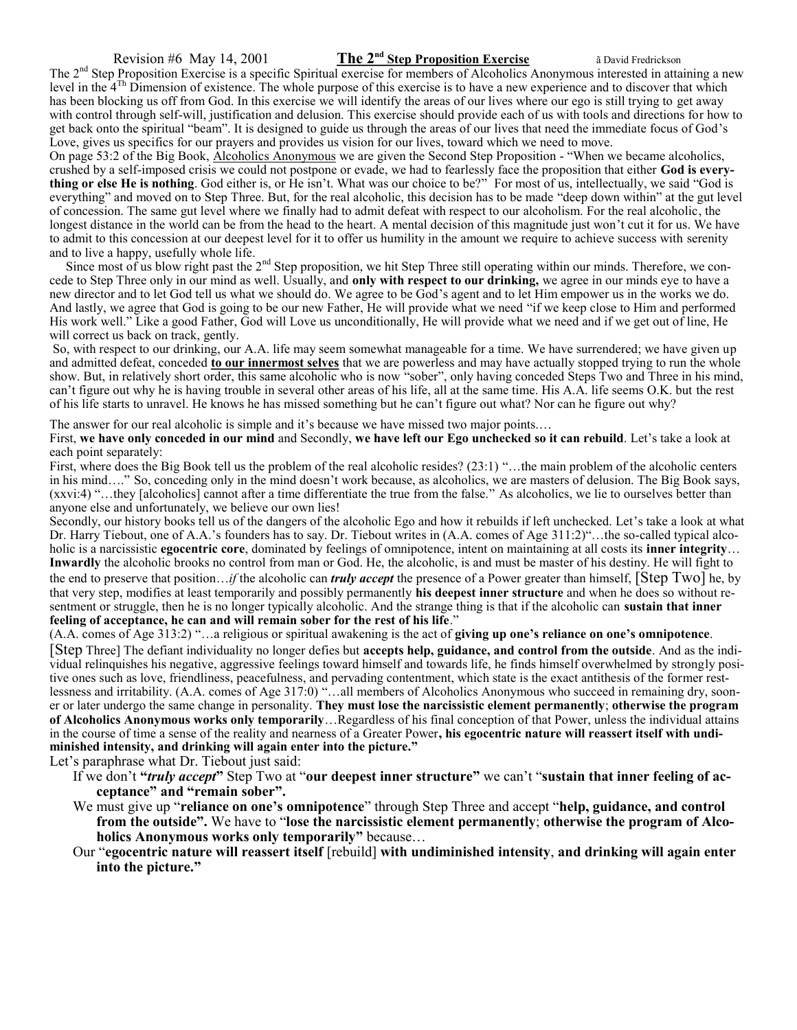#### Revision #6 May 14, 2001 **The 2nd Step Proposition Exercise** ã David Fredrickson

The 2<sup>nd</sup> Step Proposition Exercise is a specific Spiritual exercise for members of Alcoholics Anonymous interested in attaining a new level in the 4Th Dimension of existence. The whole purpose of this exercise is to have a new experience and to discover that which has been blocking us off from God. In this exercise we will identify the areas of our lives where our ego is still trying to get away with control through self-will, justification and delusion. This exercise should provide each of us with tools and directions for how to get back onto the spiritual "beam". It is designed to guide us through the areas of our lives that need the immediate focus of God's Love, gives us specifics for our prayers and provides us vision for our lives, toward which we need to move.

On page 53:2 of the Big Book, Alcoholics Anonymous we are given the Second Step Proposition - "When we became alcoholics, crushed by a self-imposed crisis we could not postpone or evade, we had to fearlessly face the proposition that either **God is everything or else He is nothing**. God either is, or He isn't. What was our choice to be?" For most of us, intellectually, we said "God is everything" and moved on to Step Three. But, for the real alcoholic, this decision has to be made "deep down within" at the gut level of concession. The same gut level where we finally had to admit defeat with respect to our alcoholism. For the real alcoholic, the longest distance in the world can be from the head to the heart. A mental decision of this magnitude just won't cut it for us. We have to admit to this concession at our deepest level for it to offer us humility in the amount we require to achieve success with serenity and to live a happy, usefully whole life.

Since most of us blow right past the  $2^{nd}$  Step proposition, we hit Step Three still operating within our minds. Therefore, we concede to Step Three only in our mind as well. Usually, and **only with respect to our drinking,** we agree in our minds eye to have a new director and to let God tell us what we should do. We agree to be God's agent and to let Him empower us in the works we do. And lastly, we agree that God is going to be our new Father, He will provide what we need "if we keep close to Him and performed His work well." Like a good Father, God will Love us unconditionally, He will provide what we need and if we get out of line, He will correct us back on track, gently.

So, with respect to our drinking, our A.A. life may seem somewhat manageable for a time. We have surrendered; we have given up and admitted defeat, conceded **to our innermost selves** that we are powerless and may have actually stopped trying to run the whole show. But, in relatively short order, this same alcoholic who is now "sober", only having conceded Steps Two and Three in his mind, can't figure out why he is having trouble in several other areas of his life, all at the same time. His A.A. life seems O.K. but the rest of his life starts to unravel. He knows he has missed something but he can't figure out what? Nor can he figure out why?

The answer for our real alcoholic is simple and it's because we have missed two major points...

First, **we have only conceded in our mind** and Secondly, **we have left our Ego unchecked so it can rebuild**. Let's take a look at each point separately:

First, where does the Big Book tell us the problem of the real alcoholic resides? (23:1) "…the main problem of the alcoholic centers in his mind…." So, conceding only in the mind doesn't work because, as alcoholics, we are masters of delusion. The Big Book says, (xxvi:4) "…they [alcoholics] cannot after a time differentiate the true from the false." As alcoholics, we lie to ourselves better than anyone else and unfortunately, we believe our own lies!

Secondly, our history books tell us of the dangers of the alcoholic Ego and how it rebuilds if left unchecked. Let's take a look at what Dr. Harry Tiebout, one of A.A.'s founders has to say. Dr. Tiebout writes in (A.A. comes of Age 311:2)"…the so-called typical alcoholic is a narcissistic **egocentric core**, dominated by feelings of omnipotence, intent on maintaining at all costs its **inner integrity**… **Inwardly** the alcoholic brooks no control from man or God. He, the alcoholic, is and must be master of his destiny. He will fight to the end to preserve that position…*if* the alcoholic can *truly accept* the presence of a Power greater than himself, [Step Two] he, by that very step, modifies at least temporarily and possibly permanently **his deepest inner structure** and when he does so without resentment or struggle, then he is no longer typically alcoholic. And the strange thing is that if the alcoholic can **sustain that inner feeling of acceptance, he can and will remain sober for the rest of his life**."

(A.A. comes of Age 313:2) "…a religious or spiritual awakening is the act of **giving up one's reliance on one's omnipotence**.

[Step Three] The defiant individuality no longer defies but **accepts help, guidance, and control from the outside**. And as the individual relinquishes his negative, aggressive feelings toward himself and towards life, he finds himself overwhelmed by strongly positive ones such as love, friendliness, peacefulness, and pervading contentment, which state is the exact antithesis of the former restlessness and irritability. (A.A. comes of Age 317:0) "…all members of Alcoholics Anonymous who succeed in remaining dry, sooner or later undergo the same change in personality. **They must lose the narcissistic element permanently**; **otherwise the program of Alcoholics Anonymous works only temporarily**…Regardless of his final conception of that Power, unless the individual attains in the course of time a sense of the reality and nearness of a Greater Power**, his egocentric nature will reassert itself with undiminished intensity, and drinking will again enter into the picture."**

Let's paraphrase what Dr. Tiebout just said:

- If we don't **"***truly accept***"** Step Two at "**our deepest inner structure"** we can't "**sustain that inner feeling of acceptance" and "remain sober".**
- We must give up "**reliance on one's omnipotence**" through Step Three and accept "**help, guidance, and control from the outside".** We have to "**lose the narcissistic element permanently**; **otherwise the program of Alcoholics Anonymous works only temporarily"** because…
- Our "**egocentric nature will reassert itself** [rebuild] **with undiminished intensity**, **and drinking will again enter into the picture."**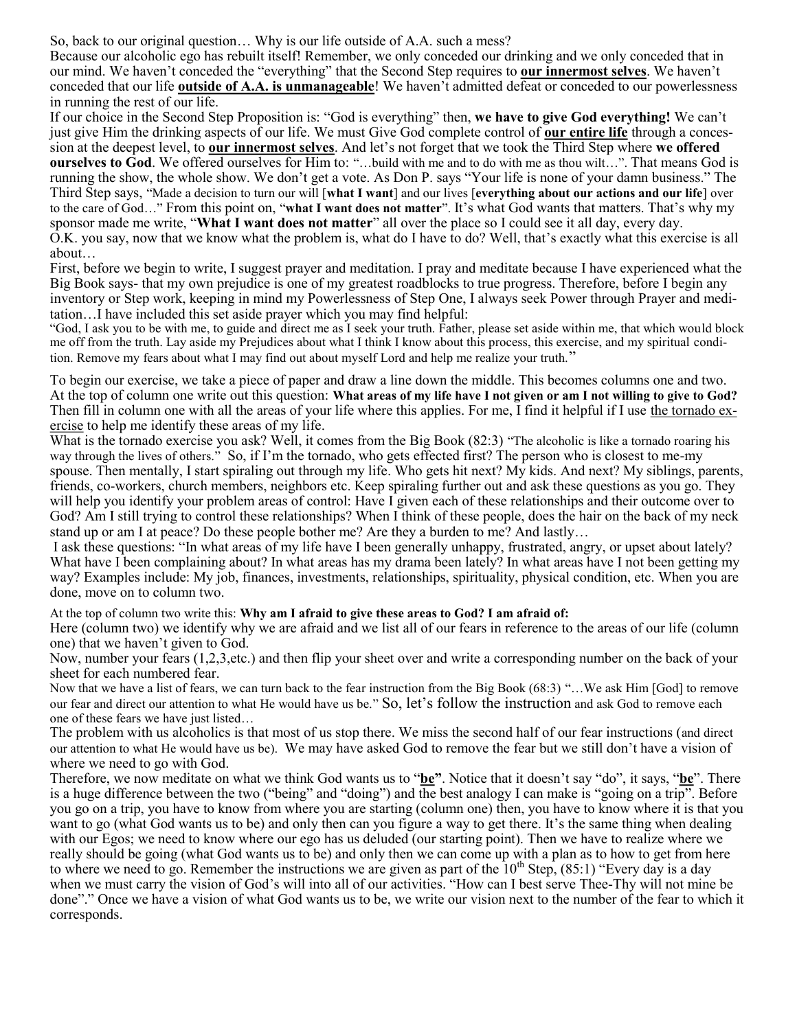So, back to our original question… Why is our life outside of A.A. such a mess?

Because our alcoholic ego has rebuilt itself! Remember, we only conceded our drinking and we only conceded that in our mind. We haven't conceded the "everything" that the Second Step requires to **our innermost selves**. We haven't conceded that our life **outside of A.A. is unmanageable**! We haven't admitted defeat or conceded to our powerlessness in running the rest of our life.

If our choice in the Second Step Proposition is: "God is everything" then, **we have to give God everything!** We can't just give Him the drinking aspects of our life. We must Give God complete control of **our entire life** through a concession at the deepest level, to **our innermost selves**. And let's not forget that we took the Third Step where **we offered ourselves to God**. We offered ourselves for Him to: "…build with me and to do with me as thou wilt…". That means God is running the show, the whole show. We don't get a vote. As Don P. says "Your life is none of your damn business." The Third Step says, "Made a decision to turn our will [**what I want**] and our lives [**everything about our actions and our life**] over to the care of God…" From this point on, "**what I want does not matter**". It's what God wants that matters. That's why my sponsor made me write, "**What I want does not matter**" all over the place so I could see it all day, every day. O.K. you say, now that we know what the problem is, what do I have to do? Well, that's exactly what this exercise is all

about…

First, before we begin to write, I suggest prayer and meditation. I pray and meditate because I have experienced what the Big Book says- that my own prejudice is one of my greatest roadblocks to true progress. Therefore, before I begin any inventory or Step work, keeping in mind my Powerlessness of Step One, I always seek Power through Prayer and meditation…I have included this set aside prayer which you may find helpful:

"God, I ask you to be with me, to guide and direct me as I seek your truth. Father, please set aside within me, that which would block me off from the truth. Lay aside my Prejudices about what I think I know about this process, this exercise, and my spiritual condition. Remove my fears about what I may find out about myself Lord and help me realize your truth."

To begin our exercise, we take a piece of paper and draw a line down the middle. This becomes columns one and two. At the top of column one write out this question: **What areas of my life have I not given or am I not willing to give to God?**  Then fill in column one with all the areas of your life where this applies. For me, I find it helpful if I use the tornado exercise to help me identify these areas of my life.

What is the tornado exercise you ask? Well, it comes from the Big Book (82:3) "The alcoholic is like a tornado roaring his way through the lives of others." So, if I'm the tornado, who gets effected first? The person who is closest to me-my spouse. Then mentally, I start spiraling out through my life. Who gets hit next? My kids. And next? My siblings, parents, friends, co-workers, church members, neighbors etc. Keep spiraling further out and ask these questions as you go. They will help you identify your problem areas of control: Have I given each of these relationships and their outcome over to God? Am I still trying to control these relationships? When I think of these people, does the hair on the back of my neck stand up or am I at peace? Do these people bother me? Are they a burden to me? And lastly…

I ask these questions: "In what areas of my life have I been generally unhappy, frustrated, angry, or upset about lately? What have I been complaining about? In what areas has my drama been lately? In what areas have I not been getting my way? Examples include: My job, finances, investments, relationships, spirituality, physical condition, etc. When you are done, move on to column two.

### At the top of column two write this: **Why am I afraid to give these areas to God? I am afraid of:**

Here (column two) we identify why we are afraid and we list all of our fears in reference to the areas of our life (column one) that we haven't given to God.

Now, number your fears (1,2,3,etc.) and then flip your sheet over and write a corresponding number on the back of your sheet for each numbered fear.

Now that we have a list of fears, we can turn back to the fear instruction from the Big Book (68:3) "…We ask Him [God] to remove our fear and direct our attention to what He would have us be." So, let's follow the instruction and ask God to remove each one of these fears we have just listed…

The problem with us alcoholics is that most of us stop there. We miss the second half of our fear instructions (and direct our attention to what He would have us be). We may have asked God to remove the fear but we still don't have a vision of where we need to go with God.

Therefore, we now meditate on what we think God wants us to "**be"**. Notice that it doesn't say "do", it says, "**be**". There is a huge difference between the two ("being" and "doing") and the best analogy I can make is "going on a trip". Before you go on a trip, you have to know from where you are starting (column one) then, you have to know where it is that you want to go (what God wants us to be) and only then can you figure a way to get there. It's the same thing when dealing with our Egos; we need to know where our ego has us deluded (our starting point). Then we have to realize where we really should be going (what God wants us to be) and only then we can come up with a plan as to how to get from here to where we need to go. Remember the instructions we are given as part of the  $10^{th}$  Step, (85:1) "Every day is a day when we must carry the vision of God's will into all of our activities. "How can I best serve Thee-Thy will not mine be done"." Once we have a vision of what God wants us to be, we write our vision next to the number of the fear to which it corresponds.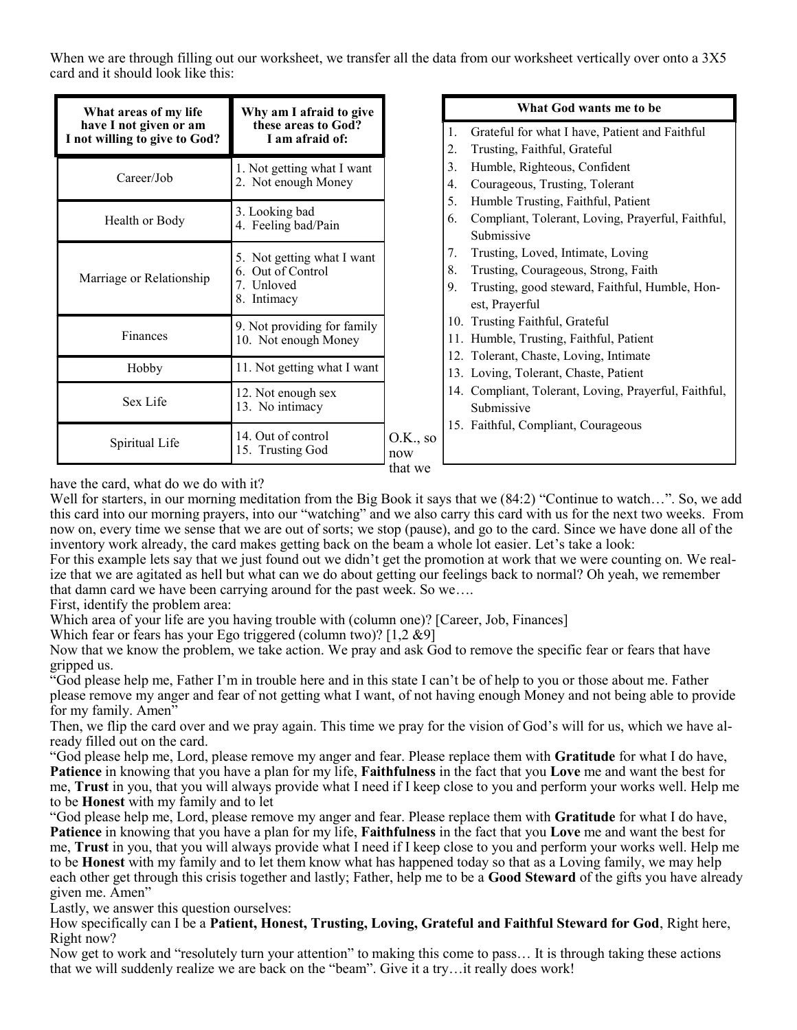When we are through filling out our worksheet, we transfer all the data from our worksheet vertically over onto a 3X5 card and it should look like this:

| What areas of my life<br>have I not given or am<br>I not willing to give to God? | Why am I afraid to give<br>these areas to God?<br>I am afraid of:            |  |
|----------------------------------------------------------------------------------|------------------------------------------------------------------------------|--|
| Career/Job                                                                       | 1. Not getting what I want<br>2. Not enough Money                            |  |
| Health or Body                                                                   | 3. Looking bad<br>4. Feeling bad/Pain                                        |  |
| Marriage or Relationship                                                         | 5. Not getting what I want<br>6. Out of Control<br>7. Unloved<br>8. Intimacy |  |
| Finances                                                                         | 9. Not providing for family<br>10. Not enough Money                          |  |
| Hobby                                                                            | 11. Not getting what I want                                                  |  |
| Sex Life                                                                         | 12. Not enough sex<br>13. No intimacy                                        |  |
| Spiritual Life                                                                   | 14. Out of control<br>15. Trusting God                                       |  |

# **What God wants me to be**

- 1. Grateful for what I have, Patient and Faithful
- 2. Trusting, Faithful, Grateful
- 3. Humble, Righteous, Confident
- 4. Courageous, Trusting, Tolerant
- 5. Humble Trusting, Faithful, Patient
- 6. Compliant, Tolerant, Loving, Prayerful, Faithful, Submissive
- 7. Trusting, Loved, Intimate, Loving
- 8. Trusting, Courageous, Strong, Faith
- 9. Trusting, good steward, Faithful, Humble, Honest, Prayerful
- 10. Trusting Faithful, Grateful
- 11. Humble, Trusting, Faithful, Patient
- 12. Tolerant, Chaste, Loving, Intimate
- 13. Loving, Tolerant, Chaste, Patient
- 14. Compliant, Tolerant, Loving, Prayerful, Faithful, Submissive
- 15. Faithful, Compliant, Courageous

have the card, what do we do with it?

Well for starters, in our morning meditation from the Big Book it says that we  $(84:2)$  "Continue to watch...". So, we add this card into our morning prayers, into our "watching" and we also carry this card with us for the next two weeks. From now on, every time we sense that we are out of sorts; we stop (pause), and go to the card. Since we have done all of the inventory work already, the card makes getting back on the beam a whole lot easier. Let's take a look:

For this example lets say that we just found out we didn't get the promotion at work that we were counting on. We realize that we are agitated as hell but what can we do about getting our feelings back to normal? Oh yeah, we remember that damn card we have been carrying around for the past week. So we….

First, identify the problem area:

Which area of your life are you having trouble with (column one)? [Career, Job, Finances]

Which fear or fears has your Ego triggered (column two)? [1,2 &9]

Now that we know the problem, we take action. We pray and ask God to remove the specific fear or fears that have gripped us.

"God please help me, Father I'm in trouble here and in this state I can't be of help to you or those about me. Father please remove my anger and fear of not getting what I want, of not having enough Money and not being able to provide for my family. Amen"

Then, we flip the card over and we pray again. This time we pray for the vision of God's will for us, which we have already filled out on the card.

"God please help me, Lord, please remove my anger and fear. Please replace them with **Gratitude** for what I do have, **Patience** in knowing that you have a plan for my life, **Faithfulness** in the fact that you **Love** me and want the best for me, **Trust** in you, that you will always provide what I need if I keep close to you and perform your works well. Help me to be **Honest** with my family and to let

"God please help me, Lord, please remove my anger and fear. Please replace them with **Gratitude** for what I do have, **Patience** in knowing that you have a plan for my life, **Faithfulness** in the fact that you **Love** me and want the best for me, **Trust** in you, that you will always provide what I need if I keep close to you and perform your works well. Help me to be **Honest** with my family and to let them know what has happened today so that as a Loving family, we may help each other get through this crisis together and lastly; Father, help me to be a **Good Steward** of the gifts you have already given me. Amen"

Lastly, we answer this question ourselves:

How specifically can I be a **Patient, Honest, Trusting, Loving, Grateful and Faithful Steward for God**, Right here, Right now?

Now get to work and "resolutely turn your attention" to making this come to pass… It is through taking these actions that we will suddenly realize we are back on the "beam". Give it a try…it really does work!